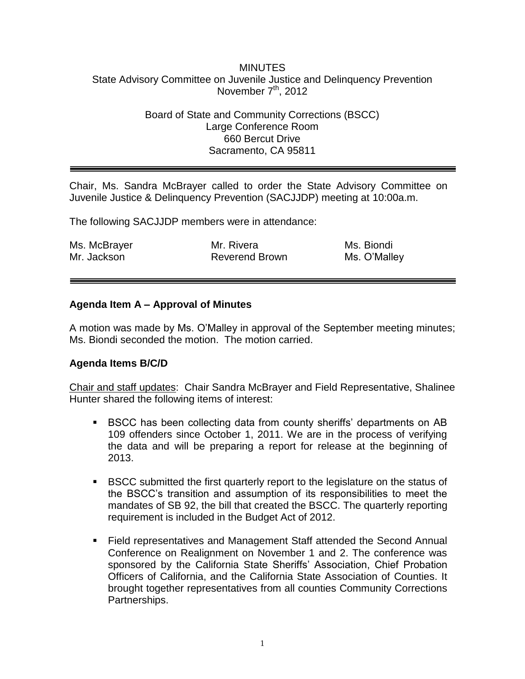#### MINUTES State Advisory Committee on Juvenile Justice and Delinquency Prevention November  $7<sup>th</sup>$ , 2012

### Board of State and Community Corrections (BSCC) Large Conference Room 660 Bercut Drive Sacramento, CA 95811

Chair, Ms. Sandra McBrayer called to order the State Advisory Committee on Juvenile Justice & Delinquency Prevention (SACJJDP) meeting at 10:00a.m.

The following SACJJDP members were in attendance:

| Ms. McBrayer | Mr. Rivera            | Ms. Biondi   |
|--------------|-----------------------|--------------|
| Mr. Jackson  | <b>Reverend Brown</b> | Ms. O'Malley |

#### **Agenda Item A – Approval of Minutes**

A motion was made by Ms. O'Malley in approval of the September meeting minutes; Ms. Biondi seconded the motion. The motion carried.

#### **Agenda Items B/C/D**

Chair and staff updates: Chair Sandra McBrayer and Field Representative, Shalinee Hunter shared the following items of interest:

- BSCC has been collecting data from county sheriffs' departments on AB 109 offenders since October 1, 2011. We are in the process of verifying the data and will be preparing a report for release at the beginning of 2013.
- BSCC submitted the first quarterly report to the legislature on the status of the BSCC's transition and assumption of its responsibilities to meet the mandates of SB 92, the bill that created the BSCC. The quarterly reporting requirement is included in the Budget Act of 2012.
- Field representatives and Management Staff attended the Second Annual Conference on Realignment on November 1 and 2. The conference was sponsored by the California State Sheriffs' Association, Chief Probation Officers of California, and the California State Association of Counties. It brought together representatives from all counties Community Corrections Partnerships.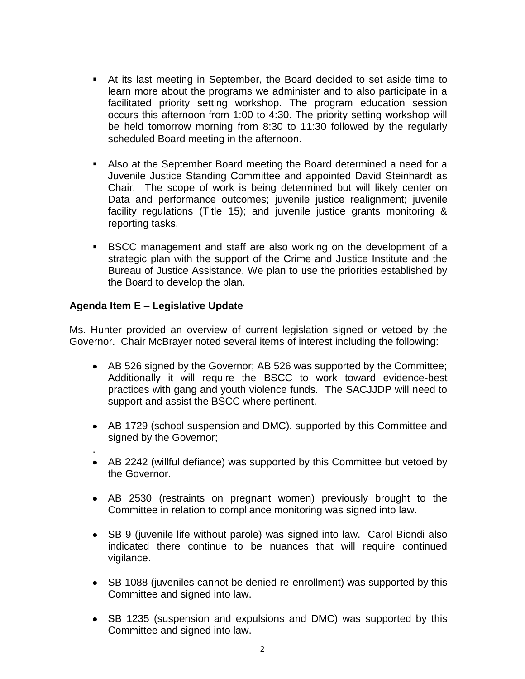- At its last meeting in September, the Board decided to set aside time to learn more about the programs we administer and to also participate in a facilitated priority setting workshop. The program education session occurs this afternoon from 1:00 to 4:30. The priority setting workshop will be held tomorrow morning from 8:30 to 11:30 followed by the regularly scheduled Board meeting in the afternoon.
- Also at the September Board meeting the Board determined a need for a Juvenile Justice Standing Committee and appointed David Steinhardt as Chair. The scope of work is being determined but will likely center on Data and performance outcomes; juvenile justice realignment; juvenile facility regulations (Title 15); and juvenile justice grants monitoring & reporting tasks.
- BSCC management and staff are also working on the development of a strategic plan with the support of the Crime and Justice Institute and the Bureau of Justice Assistance. We plan to use the priorities established by the Board to develop the plan.

## **Agenda Item E – Legislative Update**

.

Ms. Hunter provided an overview of current legislation signed or vetoed by the Governor. Chair McBrayer noted several items of interest including the following:

- AB 526 signed by the Governor; AB 526 was supported by the Committee; Additionally it will require the BSCC to work toward evidence-best practices with gang and youth violence funds. The SACJJDP will need to support and assist the BSCC where pertinent.
- AB 1729 (school suspension and DMC), supported by this Committee and signed by the Governor;
- AB 2242 (willful defiance) was supported by this Committee but vetoed by the Governor.
- AB 2530 (restraints on pregnant women) previously brought to the Committee in relation to compliance monitoring was signed into law.
- SB 9 (juvenile life without parole) was signed into law. Carol Biondi also indicated there continue to be nuances that will require continued vigilance.
- SB 1088 (juveniles cannot be denied re-enrollment) was supported by this Committee and signed into law.
- SB 1235 (suspension and expulsions and DMC) was supported by this Committee and signed into law.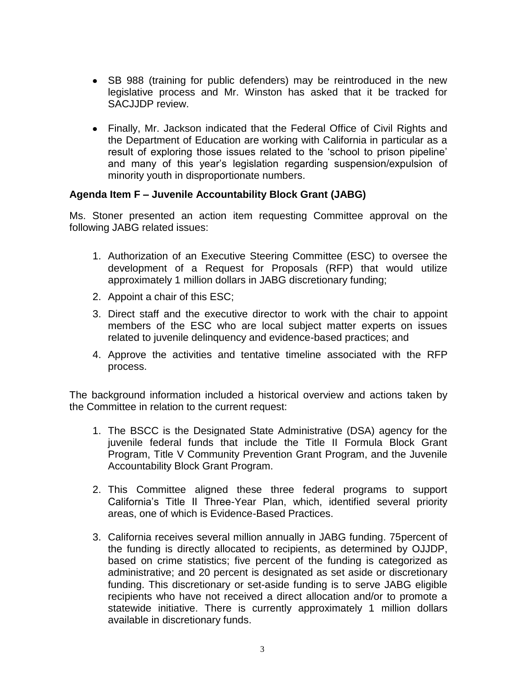- SB 988 (training for public defenders) may be reintroduced in the new legislative process and Mr. Winston has asked that it be tracked for SACJJDP review.
- Finally, Mr. Jackson indicated that the Federal Office of Civil Rights and the Department of Education are working with California in particular as a result of exploring those issues related to the 'school to prison pipeline' and many of this year's legislation regarding suspension/expulsion of minority youth in disproportionate numbers.

## **Agenda Item F – Juvenile Accountability Block Grant (JABG)**

Ms. Stoner presented an action item requesting Committee approval on the following JABG related issues:

- 1. Authorization of an Executive Steering Committee (ESC) to oversee the development of a Request for Proposals (RFP) that would utilize approximately 1 million dollars in JABG discretionary funding;
- 2. Appoint a chair of this ESC;
- 3. Direct staff and the executive director to work with the chair to appoint members of the ESC who are local subject matter experts on issues related to juvenile delinquency and evidence-based practices; and
- 4. Approve the activities and tentative timeline associated with the RFP process.

The background information included a historical overview and actions taken by the Committee in relation to the current request:

- 1. The BSCC is the Designated State Administrative (DSA) agency for the juvenile federal funds that include the Title II Formula Block Grant Program, Title V Community Prevention Grant Program, and the Juvenile Accountability Block Grant Program.
- 2. This Committee aligned these three federal programs to support California's Title II Three-Year Plan, which, identified several priority areas, one of which is Evidence-Based Practices.
- 3. California receives several million annually in JABG funding. 75percent of the funding is directly allocated to recipients, as determined by OJJDP, based on crime statistics; five percent of the funding is categorized as administrative; and 20 percent is designated as set aside or discretionary funding. This discretionary or set-aside funding is to serve JABG eligible recipients who have not received a direct allocation and/or to promote a statewide initiative. There is currently approximately 1 million dollars available in discretionary funds.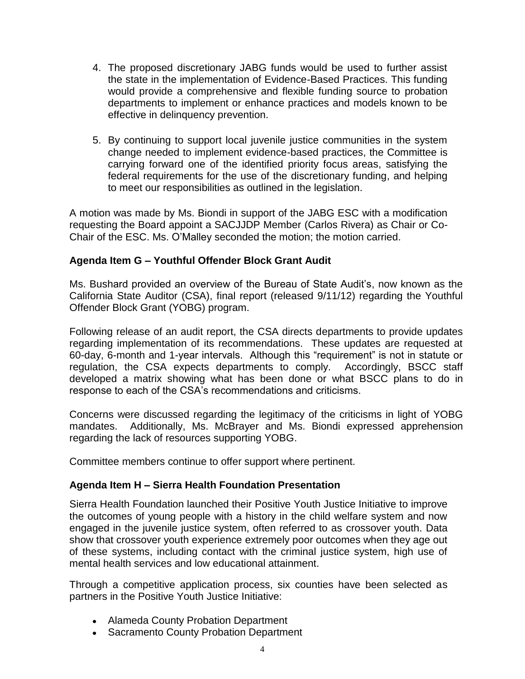- 4. The proposed discretionary JABG funds would be used to further assist the state in the implementation of Evidence-Based Practices. This funding would provide a comprehensive and flexible funding source to probation departments to implement or enhance practices and models known to be effective in delinquency prevention.
- 5. By continuing to support local juvenile justice communities in the system change needed to implement evidence-based practices, the Committee is carrying forward one of the identified priority focus areas, satisfying the federal requirements for the use of the discretionary funding, and helping to meet our responsibilities as outlined in the legislation.

A motion was made by Ms. Biondi in support of the JABG ESC with a modification requesting the Board appoint a SACJJDP Member (Carlos Rivera) as Chair or Co-Chair of the ESC. Ms. O'Malley seconded the motion; the motion carried.

## **Agenda Item G – Youthful Offender Block Grant Audit**

Ms. Bushard provided an overview of the Bureau of State Audit's, now known as the California State Auditor (CSA), final report (released 9/11/12) regarding the Youthful Offender Block Grant (YOBG) program.

Following release of an audit report, the CSA directs departments to provide updates regarding implementation of its recommendations. These updates are requested at 60-day, 6-month and 1-year intervals. Although this "requirement" is not in statute or regulation, the CSA expects departments to comply. Accordingly, BSCC staff developed a matrix showing what has been done or what BSCC plans to do in response to each of the CSA's recommendations and criticisms.

Concerns were discussed regarding the legitimacy of the criticisms in light of YOBG mandates. Additionally, Ms. McBrayer and Ms. Biondi expressed apprehension regarding the lack of resources supporting YOBG.

Committee members continue to offer support where pertinent.

#### **Agenda Item H – Sierra Health Foundation Presentation**

Sierra Health Foundation launched their Positive Youth Justice Initiative to improve the outcomes of young people with a history in the child welfare system and now engaged in the juvenile justice system, often referred to as crossover youth. Data show that crossover youth experience extremely poor outcomes when they age out of these systems, including contact with the criminal justice system, high use of mental health services and low educational attainment.

Through a competitive application process, six counties have been selected as partners in the Positive Youth Justice Initiative:

- Alameda County Probation Department
- Sacramento County Probation Department